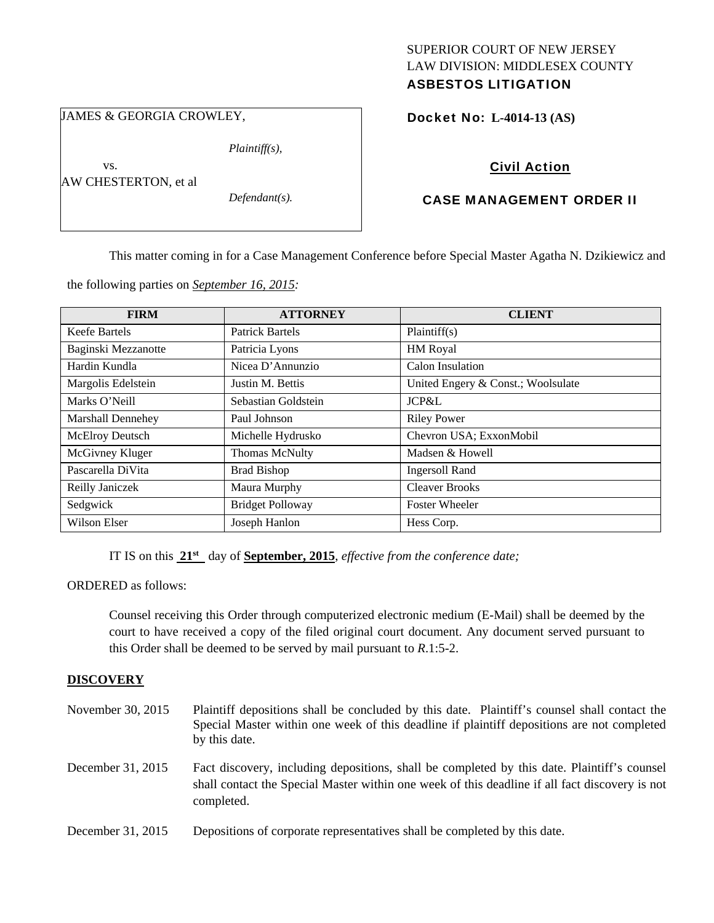# SUPERIOR COURT OF NEW JERSEY LAW DIVISION: MIDDLESEX COUNTY

# ASBESTOS LITIGATION

JAMES & GEORGIA CROWLEY,

*Plaintiff(s),* 

 vs. AW CHESTERTON, et al

*Defendant(s).* 

### Docket No: **L-4014-13 (AS)**

## Civil Action

### CASE MANAGEMENT ORDER II

This matter coming in for a Case Management Conference before Special Master Agatha N. Dzikiewicz and

the following parties on *September 16, 2015:* 

| <b>FIRM</b>              | <b>ATTORNEY</b>         | <b>CLIENT</b>                      |
|--------------------------|-------------------------|------------------------------------|
| Keefe Bartels            | <b>Patrick Bartels</b>  | Plaintiff(s)                       |
| Baginski Mezzanotte      | Patricia Lyons          | HM Royal                           |
| Hardin Kundla            | Nicea D'Annunzio        | Calon Insulation                   |
| Margolis Edelstein       | Justin M. Bettis        | United Engery & Const.; Woolsulate |
| Marks O'Neill            | Sebastian Goldstein     | JCP&L                              |
| <b>Marshall Dennehey</b> | Paul Johnson            | <b>Riley Power</b>                 |
| McElroy Deutsch          | Michelle Hydrusko       | Chevron USA; ExxonMobil            |
| McGivney Kluger          | <b>Thomas McNulty</b>   | Madsen & Howell                    |
| Pascarella DiVita        | <b>Brad Bishop</b>      | <b>Ingersoll Rand</b>              |
| Reilly Janiczek          | Maura Murphy            | <b>Cleaver Brooks</b>              |
| Sedgwick                 | <b>Bridget Polloway</b> | <b>Foster Wheeler</b>              |
| Wilson Elser             | Joseph Hanlon           | Hess Corp.                         |

IT IS on this **21st** day of **September, 2015**, *effective from the conference date;*

ORDERED as follows:

Counsel receiving this Order through computerized electronic medium (E-Mail) shall be deemed by the court to have received a copy of the filed original court document. Any document served pursuant to this Order shall be deemed to be served by mail pursuant to *R*.1:5-2.

#### **DISCOVERY**

| November 30, 2015 | Plaintiff depositions shall be concluded by this date. Plaintiff's counsel shall contact the<br>Special Master within one week of this deadline if plaintiff depositions are not completed<br>by this date. |
|-------------------|-------------------------------------------------------------------------------------------------------------------------------------------------------------------------------------------------------------|
| December 31, 2015 | Fact discovery, including depositions, shall be completed by this date. Plaintiff's counsel<br>shall contact the Special Master within one week of this deadline if all fact discovery is not<br>completed. |
| December 31, 2015 | Depositions of corporate representatives shall be completed by this date.                                                                                                                                   |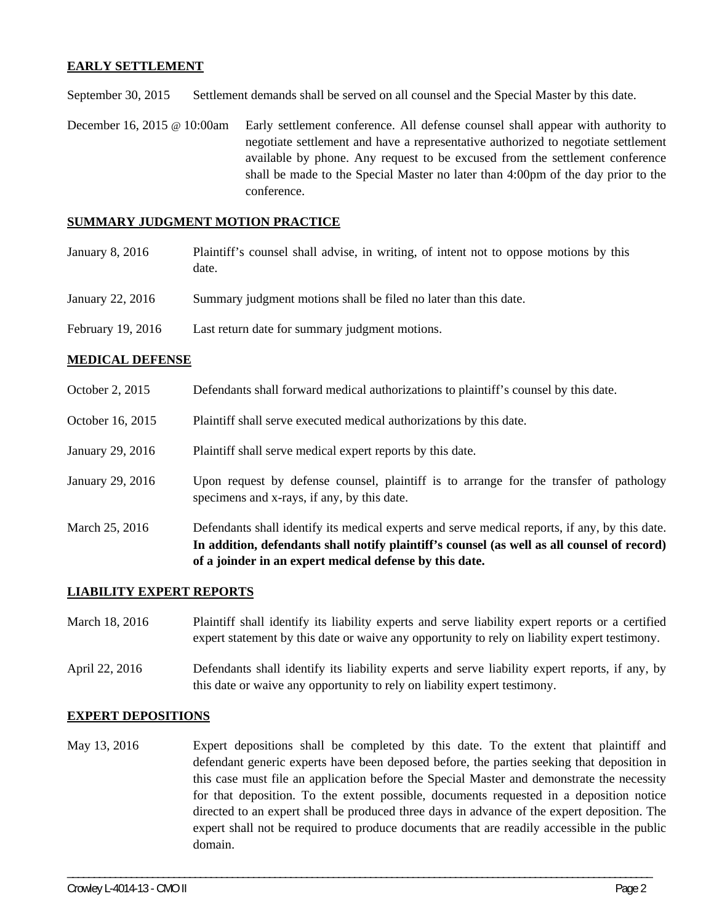#### **EARLY SETTLEMENT**

September 30, 2015 Settlement demands shall be served on all counsel and the Special Master by this date.

December 16, 2015 @ 10:00am Early settlement conference. All defense counsel shall appear with authority to negotiate settlement and have a representative authorized to negotiate settlement available by phone. Any request to be excused from the settlement conference shall be made to the Special Master no later than 4:00pm of the day prior to the conference.

#### **SUMMARY JUDGMENT MOTION PRACTICE**

- January 8, 2016 Plaintiff's counsel shall advise, in writing, of intent not to oppose motions by this date.
- January 22, 2016 Summary judgment motions shall be filed no later than this date.
- February 19, 2016 Last return date for summary judgment motions.

#### **MEDICAL DEFENSE**

- October 2, 2015 Defendants shall forward medical authorizations to plaintiff's counsel by this date.
- October 16, 2015 Plaintiff shall serve executed medical authorizations by this date.
- January 29, 2016 Plaintiff shall serve medical expert reports by this date.
- January 29, 2016 Upon request by defense counsel, plaintiff is to arrange for the transfer of pathology specimens and x-rays, if any, by this date.
- March 25, 2016 Defendants shall identify its medical experts and serve medical reports, if any, by this date. **In addition, defendants shall notify plaintiff's counsel (as well as all counsel of record) of a joinder in an expert medical defense by this date.**

#### **LIABILITY EXPERT REPORTS**

- March 18, 2016 Plaintiff shall identify its liability experts and serve liability expert reports or a certified expert statement by this date or waive any opportunity to rely on liability expert testimony.
- April 22, 2016 Defendants shall identify its liability experts and serve liability expert reports, if any, by this date or waive any opportunity to rely on liability expert testimony.

#### **EXPERT DEPOSITIONS**

May 13, 2016 Expert depositions shall be completed by this date. To the extent that plaintiff and defendant generic experts have been deposed before, the parties seeking that deposition in this case must file an application before the Special Master and demonstrate the necessity for that deposition. To the extent possible, documents requested in a deposition notice directed to an expert shall be produced three days in advance of the expert deposition. The expert shall not be required to produce documents that are readily accessible in the public domain.

\_\_\_\_\_\_\_\_\_\_\_\_\_\_\_\_\_\_\_\_\_\_\_\_\_\_\_\_\_\_\_\_\_\_\_\_\_\_\_\_\_\_\_\_\_\_\_\_\_\_\_\_\_\_\_\_\_\_\_\_\_\_\_\_\_\_\_\_\_\_\_\_\_\_\_\_\_\_\_\_\_\_\_\_\_\_\_\_\_\_\_\_\_\_\_\_\_\_\_\_\_\_\_\_\_\_\_\_\_\_